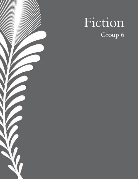

# Fiction Group 6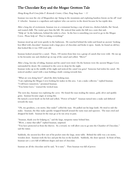## The Chocolate Key and the Mogao Grottoes Tale

Hong Kong Red Cross John F. Kennedy Centre, Chan, Pang Sang Isaac - 11

Iszaman was near the city of Mogaozhen zip-lining in the mountains and exploring bamboo forests on his off-road 4-wheeler. Iszaman is a superhero and explorer who can survive in the desert because he has reptile skin.

After a long day of excitement, Iszaman was at a restaurant having a cup of mint tea, chicken kabobs, flat-bread, and roasted chilli. The waiter gave him the bill. He noticed that under the bill was a note that said, "Help us! In the bathroom, behind the toilet is a box. In the box is something you need to go to the Mogao Caves. Please help us! They're taking everything!"

Iszaman stood up and went quietly to the bathroom. He searched behind the toilet and found an ancient-looking box filled with chocolate! Iszaman took a large piece of chocolate and broke it open. Inside, he found an old key that looked like it was 1500 years old.

Iszaman looked around for a camel. There, 100 metres from him was a group of camels that were wild. He ran up to his favourite one and climbed up on top of the camel and yelled, "Move!"

After a long, hot day of riding, Iszaman and his camel were tired. On the horizon were the ancient Mogao Caves surrounded by desert. He continued to the caves to sleep for the night.

Iszaman woke up in the middle of the night and noticed the camel was gone! Someone had stolen his camel. He noticed another camel with a man holding a knife coming towards him.

"What are you doing here?" asked the dirty looking man.

"I am exploring the Mogao Caves looking for snakes in this area. I am a snake collector," replied Iszaman.

"I will leave tomorrow," promised Iszaman.

"You better leave," warned the wicked man.

The next day, Iszaman was exploring the caves. He found the man stealing the statues, gold, silver and sparkly gems. Iszaman became angry at seeing this.

He turned a secret knob on his belt and yelled, "Power of Snake!" Iszaman turned into a snake and slithered towards the man.

"Oh, my goodness, a six metre, blue snake!" yelled the man. He pulled out his large knife. He tried to stab the snake. Iszaman, the blue snake quickly wrapped himself around the nasty man and squeezes. The man cried and dropped his knife. Iszaman let the man go as he ran away in pain.

"Iszaman, thank you for helping us," said the large, turquoise statue behind him.

"Wow, a statue that talks!" replied Iszaman, surprised.

"You have protected us from the thieves. As a reward, we will allow you to go into the Chamber of Chocolate," said the statue.

Suddenly, the ancient key flew out of his pocket onto the large, stone table. Behind the table was a six metre, wooden door. Iszaman took the key and put the key in the keyhole. Suddenly, the door opened. In front of him, Iszaman saw a cave full of different shapes and sizes of chocolate.

Iszaman ate all the chocolate and he said, "It is tasty". Then Iszaman was full of power.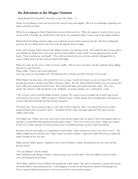## An Adventure at the Mogao Grottoes

Hong Kong Red Cross John F. Kennedy Centre, Shi, Peilan  $-9$ 

Palatia was travelling by camel and arrived at the oasis for water and supplies. She was an archeologist exploring rock shapes and fossils in China.

While she was digging for fossils, Palatia discovered an old treasure box. When she opened it, inside the box was an ancient scroll. Excitedly, she unrolled the scroll and she was surprised to find a treasure map to the Mogao Grottoes.

Palatia left for the Mogao Grottoes right away to find the treasure before someone else did. She had a feeling that someone else was following her and so she rode through the desert at night.

In the early morning, Palatia arrived at the Mogao Grottoes and started to search. She looked for days in many places and suddenly she found a box! Just as she opened it and unrolled a scroll, a knife was put against her back and she heard, "Drop it and put up your hands!" The scroll was taken by the two evil men and they kidnapped her in chains. Palatia tried to be brave but she fainted with fright.

When she woke up, she was in a dark cave lit by candles. The two men were there and she could hear them talking about how to get rid of her.

Palatia yelled, "I have to go to the bathroom!"

One man came over and angrily said, "No bathroom here. I'll take you there, but don't try to escape."

While Palatia was alone there, she searched for ways to escape. Luckily she found a secret cave tunnel. She crawled through the tunnel to another room filled with stone coffins. She hid. Palatia held her breath as the men ran past the stone coffins and continued to look for her. She waited until night and sneaked into their camp. They were asleep! She started to walk towards the scroll. Suddenly, she heard a strange voice coming from a statue.

"The evil men want to steal the Mogao Grottoes' treasure. We count on you to translate the ancient script on the scroll and save the treasure. Will you help us?" asked the statue. Palatia agreed. She unwrapped the scroll and saw an ancient script that looked like the Han Dynasty characters.

The statue said, "If you read the script, we will come to life to help you. Also, you will get the power to make people petrified when you point at them." So Palatia read the script and magic happened! The statues became soldiers with swords.

One soldier said, "Follow me to the secret room where all the cultural relics are placed. Then you transport them to a safe place to avoid them from getting into bad people's hands." They went to the secret room. Palatia was amazed by the scene of piles and piles of ancient treasure such as beautiful paintings, precious scripts and silk arts…

Just then, the two men broke in, waving knives in their hands: "These treasures are ours! Leave here at once!" The soldiers fought fiercely with the men. Cling! Clang! went their weapons. Oops! One soldier fell and was caught and made a hostage by the two men.

Palatia and the soldiers gasped. Suddenly an idea came to Palatia in a flash. She pointed at the two men and they became statues!

"You are brilliant!" said the soldiers.

They celebrated as the Mogao Grottoes' cultural treasure was saved by them. Then the soldiers returned to their caves and changed back to statues.

Then Palatia called the mayor's hotline and reported the whole matter. The mayor sent guards to protect the treasure. He shook Palatia's hand and praised her: "I am delighted to award you the Honoured Citizen of Dunhuang City. You are granted this permanent pass to visit our city for free, and no need to queue."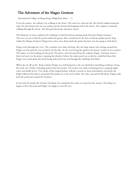International College of Hong Kong, Bridgeford, Hana  $-11$ 

It was the sunrise. An explorer was walking in the desert. The sand was cold and soft. She slowly trudged along the sand. On the horizon the sun was setting and she found sand footprints left in the desert. The explorer continued walking through the desert. She felt good about the adventure ahead.

The King has set many explorers the challenge to find the famous missing pearls from the Mogao Grottoes. The race was on to find the pearls within the grotto. How would she be the first to find the golden pearl's deep within the Mogao Grottoes? Poppy knew they were deep inside the grotto but how was she going to find them?

Poppy raced through the caves. The corridors were dark and long. She saw huge statues and carvings around her. Poppy saw the pearl she was excited to be the first. As she was leaving the grottoes she heard a sound. It was a prince. The prince was also looking for the pearl. The prince stole the pearl from the explorer Poppy. Someone wrote a letter and sent it to the prince exposing the details of where the stolen pearl was so that he could find them first. Poppy was scared about the pearls being stolen from her and thought the challenge had failed.

When she set off on the King's mission Poppy was well prepared as she was afraid that something would go wrong. She took out a bottle of sleeping potion from her pocket. The potion was made of sleeping leaves, jumping night, water and deadly leaves. Two drops of this magical potion will put a person to sleep immediately and slowly die. Poppy followed the prince and poured the potion in to his water bottle. He took a sip and he fell asleep. Poppy took back the pearl and escaped the Grottoes.

As she arrived outside the Grottoes the King was waiting for her ready to crown her the winner. The King was happy to have the pearl and Poppy was happy to win the race.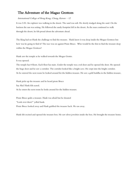#### International College of Hong Kong, Chung, Karson  $-12$

It was 3:30. An explorer was walking in the desert. The sand was soft. He slowly trudged along the sand. On the horizon the sun was setting. He followed the sandy footprint left in the desert. As the man continued to walk through the desert, he felt proud about the adventure ahead.

The King had set Hank the challenge to find the treasure. Hank knew it was deep inside the Mogao Grottoes but how was he going to find it? The race was on against Pirate Bruce. Who would be the first to find the treasure deep within the Mogao Grottoes?

Hank saw the temple as he walked towards the Mogao Grotto.

It was opened.

The temple has 8 floors. Each floor has stairs. Under the temple was a red door and he opened the door. He opened the huge door and he saw a corridor. The corridor looked like a bright cave. He crept into the bright corridor. As he entered the next room he looked around for the hidden treasure. He saw a gold buddha in the hidden treasure.

Hank picks up the treasure and he heard pirate Bruce Say Aha! Hank felt scared. As he enters the next room he looks around for the hidden treasure.

Pirate Bruce grabs a treasure. Hank was afraid but he shouted "Look over there!" yelled hank. Pirate Bruce looked away and Hank grabbed the treasure back. He ran away.

Hank felt excited and opened the treasure box. He saw silver jewelries inside the box. He brought the treasure home.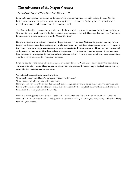### International College of Hong Kong, Law, Wai Lok  $-12$

It was 8:30. An explorer was walking in the desert. The sun shone upon it. He walked along the sand. On the horizon, the sun was setting. He followed sandy footprints left in the desert. As the explorer continued to walk through the desert, he felt excited about the adventure ahead.

The King had set Hang the explorer a challenge to find the pearl. Hang knew it was deep inside the empty Mogao Grottoes, but how was he going to find it? The race was on against Hang with Hank, another explorer. Who would be the first to find the pearl deep within the Mogao Grottoes?

Hang saw a temple as he walked towards the Mogao Grottoes. It was scary. Outside, the grottos were empty. The temple had 8 floors. Each floor was terrifying. Under each floor was a red door. Hang opened the door. He opened the red door and he saw light coming from the path. He crept into the terrifying caves. There was a door at the end of the corridor. Hang opened the door and saw a long staircase. He walked on it and he was scared. His legs were tired in distress from climbing the staircase. After he climbed to the top, he saw scary murals and statues around him. The statues were colourful, but scary. He was scared.

Later, he heard a sound coming from an area. He went there to see it. When he got there, he saw the pearl! Hang was excited to take it home. Hang jumped on to the stone and grabbed the pearl. Hang went back up. He was very excited to show the king that he had got it.

Oh no! Hank appeared from under the arches.

"I am finally here!" said Hank. "I am going to take your treasure."

"No, please don't take my treasure!" cried Hang.

Hank grabbed a sword with his bare hands. Hank took Hang's treasure and attacked him. Hang was very mad and furious with Hank. He attacked them back and took his treasure back. Hang took the sword from Hank and sliced him. Hank died. Hang ran out of the Grotto.

Hank was very happy to have his treasure back and he walked lots and lots of miles on his way home. When he returned home he went to the palace and gave the treasure to the King. The King was very happy and thanked Hang for finding the treasure.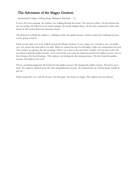International College of Hong Kong, Mohinani, Kimberly  $-12$ 

It was 6.30 in the morning. An explorer was walking through the desert. The sand was yellow. On the horizon the sun was setting. He followed some sandy footsteps. He slowly trudged along . As the man continued to walk in the desert, he felt excited about the adventure ahead.

The King had set Hank the explorer a challenge to find the golden treasure. Hank accepted the challenge but how was he going to find it?

Hank saw the dark caves as he walked towards the Mogao Grottoes. It was a huge cave. Outside it was a beautiful cave. He opened the door and it was dark. When he opened the door he felt happy. Light was coming from the roof. The corridor was gloomy like the mornings. THere was a door at the end of the corridor. The bot felt excited. He was about to find the golden treasure. As he entered the next room he looked around for the hidden treasure. He saw lots of statues. He heard footsteps. THe explorer was looking for the missing treasure. The boy found the golden treasure. He looked at the rock.

Oh no, something happened. He looked for the golden treasure. He dropped the golden treasure. He had to get it back! The explorer climbed down the hole and grabbed the treasure. He climbed back up with his hands. Finally he got out.

Hank escaped the cave with the treasure. He felt happy. The King was happy. The explorer became famous!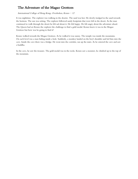#### International College of Hong Kong, Overholsen, Kenzo - 12

It was nighttime. The explorer was walking in the desetre. The sand was hot. He slowly trudged in the sand towards the horizon. The sun was setting. The explorer followed sandy footprints that were left in the desert. As the man continued to walk through the desert he felt sad about it. He felt happy. He felt angry about the adventure ahead. The Queen had set Kenzo the explorer the challenge to find a gold medal. Kenzo knew it was in the Mogao Grottoes but how was he going to find it?

Kenzo walked towards the Mogao Grottoes. As he walked it was sunny. The temple was inside the mountains. On each level was a man hiding inside a hole. Suddenly, a monkey landed on the boy's shoulder and led him into the cave. Inside the cave there was a bridge. He went into the corridor, ran up the stairs. As he entered the cave and saw a buddha.

In the cave, he saw the treasure. The gold medal was in the rocks. Kenzo saw a monster, he climbed up to the top of the mountain.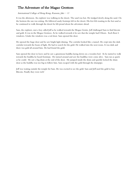### International College of Hong Kong, Ransom, Jake  $-11$

It was the afternoon. An explorer was walking in the desert. The sand was hot. He trudged slowly along the sand. On the horizon the sun was setting. He followed sandy footsteps left in the desert. His feet felt roasting in the hot sand as he continued to walk through the desert he felt proud about the adventure ahead.

Sam, the explorer, met a boy called Jeff as he walked towards the Mogao Grotto. Jeff challenged Sam to find bitcoin and gold. It was in the Mogao Grottoes. As he walked towards it he saw that the temple had 8 floors. Each floor 6 windows. Under the windows was a red door. Sam opened the door.

He opened the huge door and he saw bright light shining. The corridor looked like a tunnel. He crept into the dark corridor towards the beam of light. He had to search for the gold. He walked into the next room. It was dark and there was gold all around him. He had found the gold.

Sam opened the door to leave and he saw a ginormous buddha laying down on a wooden bed. As he started to walk towards the buddha he heard footsteps. He turned around and saw the buddhas were come alive. Sam ran as quick as he could. He saw a big drain at the end of the door. He jumped inside the drain and quickly locked the drain door as the buddha was too big to follow him. Sam escaped with the gold through the drainpipe.

Jeff was waiting outside the temple for Sam. He was excited to see the gold. Sam and Jeff used the gold to buy Bitcoin. Finally they were rich!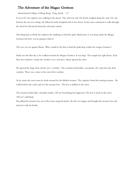#### International College of Hong Kong, Tong, Josiah  $-12$

It was 6:30. An explorer was walking in the desert. The sand was soft. He slowly trudged along the sand. On the horizon the sun was setting. He followed sandy footprints left in the desert. As the man continued to walk through the desert he felt proud about the adventure ahead.

The King had set Hank the explorer the challenge to find the gold. Hank knew it was deep inside the Mogao Grottoes but how was he going to find it?

The race was on against Marisa. Who would be the first to find the gold deep within the mogao Grottoes?

Hank saw the blue sky as he walked towards the Mogao Grottoes. It was large. The temple has eight floors. Each floor has windows. Under the window was a red door. Hank opened the door.

He opened the huge door and he saw a corridor. The corridor looked like a mountain. He crept into the short corridor. There was a door at the end of the corridor.

As he enters the next room he looks around for the hidden treasure. The explorer found the missing treasure. He walked down the rocks and sees the treasure box. The box is hidden in the snow.

The treasure looked like colourful candies. Oh no! Something has happened. The box is stuck in the snow. 'Oh no!' said Hank.

He pulled the treasure box out of the snow using his hands. He felt very happy and brought the treasure box and shared it with his family.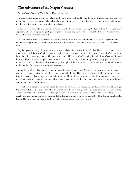#### International College of Hong Kong, Vora, Jaanav  $-13$

It was a boiling hot day. Jake was walking in the desert, the sand was like fire, he slowly trudged along the sand. On the horizon, the sun was setting. Jake followed the sandy footprints left in the desert. As he continued to walk through the desert he felt excited about the adventure ahead.

Yesterday, Jake was told of a mysterious treasure in the Mogao Grottoes along the famous Silk Road. Like many explorers, Jake was tempted by gold, god, or glory. The idea of gold hit him. He must find the secret treasure in the Mogao Grottoes but where would it be?

Jake saw the sun rising as he walked towards the Mogao Grottoes. It was humongous. Outside the giant tower, the temple had eight floors. Outside each floor was a ginormous red door under a tiled ledge. Gently, Jake opened the door.

As Jake opened the huge door he saw the narrow, endless, slippery corridor that looked like a cave. He crept into a dark hallway with beams of light seeping through the rocks and sand. Another door was at the end of the corridor. Behind the door was a huge statue. The huge statue looked like a giant buddha lying down in front of a crowd. Behind him was about a hundred people carved into the wall. He heard some air whistling through the gaps. He moved the statue of a buddha to the side so that he could get through. At the end of the corridor, there was a diamond cat statue in the middle of the gold coins and jewels everywhere.

When Jake took the diamond cat suddenly something terrible happened. Right after he took it, the stone under the diamond cat moved a gigantic ball which came to try and kill him. Then whatever he was holding on to, to get away from it slipped. He had to make a huge hole to escape. He tried to get out but he could not get out. So there were three holes, only one could let him out and two would lead him to death. The middle one is the one he went through and he came out with the treasure.

He walked 1 kilometre, on his way home, Suddenly 50 native archers popped up and started to try to kill him to get the jewels and all the treasure. Then when he arrived home he went straight to bed because it was pitched dark outside. After he went to bed an archer tiptoed through his window to take the treasure back to the Mogao Grottoes. But Jake caught him and choked him to death. After that he kicked him out of his house and grabbed the diamond cat from his hands. He put it in a safe place in his house. The treasure was safe and Jake was rich.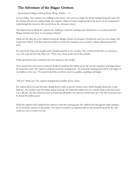#### International College of Hong Kong, Wong, Nathan  $-13$

It was 6:00pm. The explorer was walking in the desert. The sand was rough. He slowly trudged along the sand. On the horizon the sun was setting. Hank, the explorer, followed sandy footprints left in the desert. As he continued to walk through the desert he felt excited about the adventure ahead.

The Queen had set Hank the explorer the challenge to find the missing pearl. Hank knew it was deep inside the Mogao Grottoes but how was he going to find it?

Hank saw the blue sky as he walked towards the Mogao Grotto. It was giant. Outside the rock was very rough. The temple has 8 floors. Each floor had red windows. Under the windows was a red door. Hank walked towards the door.

He opened the huge door loudly and he plodded quickly in the corridor. The corridor looked like an enormous cave. He crept into the old, dirty cave. There was a door at the end of the corridor.

Hank opened the door cautiously and went upstairs to the temple.

As he entered the next room in alarm he looked around for the hidden pearl. He saw the mummies and huge statues. He heard the wind. The explorer suddenly found the missing pearl. He found the missing pearl and he was happy. It was hidden in the trees. The pearl looked like jewellery and it was golden, sparkling and bright.

"Oh no!" Hank said. The explorer dropped the jewellery down a hole.

He walked down towards the hole, sliding down a slide to get the treasure back. Hank thought about how to get back up. He needed to get the ladder and go back up. He found the ladder next to a cabinet deep in the hole and it was a tall one. He felt excited because he found the tall ladder. He started to climb back up it. He felt excited because he found the hidden pearl.

Hank the explorer had completed his mission to find the missing pearl. He walked back through the dark corridors. He reached the entrance to the grotto. The Queen would be so impressed that he has found the pearl for her. He could not wait to return it to her.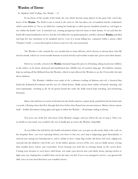## Warden of Eirene

#### St. Stephen's Girls' College, Siu, Natalie - 13

If you know of the mouth of the Earth, the one which devours many players in the game Life, you'd also know of the Warden. The Earth is ours as much as she owns us. She has taken care of mankind and the civilizations which came before us. Yet as we failed her, ruining her landscape as other species crumbled around us, evil began to rise within the Earth's core. It tunneled out, creating passageways that led many to their demise. It was said that the Earth still wanted mankind to survive, but the evil within her was gatekeeping her, and like a prisoner Warden, patrolled and kept her true intentions to let mankind survive, even if it meant killing her, contained within a prison called 'Pandora's Vault', a cavern that looped on forever and ever, the exit nonexistent.

The Warden is who controls the cave mouths that so many fall into, and it chooses to devour those who fall into his mouth, which are cavern mouths humans in search of riches and wonder wander into, just to meet their demise.

However, recently, at least to the **Warden**, humanity began the process of fracking, taking its precious children to the surface, to be burnt, destroyed and transformed into childish toys of creatures long ago. Nevertheless, humans kept on sucking all the lifeblood from the Warden, which in turn allowed the Warden to see the Overworld, the land above darkness.

The Warden's children were made of oil, a substance reeking of darkness and evil, a chemical that fueled the Industrial Revolution and the eyes of a blind demon. Shulk sensors form within oil barrels, listening, and most importantly, watching us all. As oil spread around the earth, the shulk sensors kept watching, and monitoring humanity.

Many who had been in search of salvation for the Earth ended in a quick death, painful but fast for lasted only a second, a fleeting vision that flew through their lives before they floated into unconsciousness. History always repeats itself  $-$  foolish adventurers trying again and again to defeat the Warden  $-$  all attempts ending in demise.

You were one of the few who knew of the Warden's danger, and you will be the one to stop it. There was no doubt in your mind, you would be the one to finally put an end to the Warden. Hopefully.

As you follow the trail left by the foolish adventurers before you, you spot an oily streak, dark as the void, on the deepslate floor: you were repeating history you knew it but you can't stop it happening again Immediately, it noticed your staring eyes burning into it, and it, similar to how a large slug would, slid down and away, edging you onwards into the shadowy void of the cave. In the darker, gloomy crevices of the cave, you see shulk sensors, waving their tendrils above, below, just everywhere. Every footstep you took left an echoing clomp on the cavern floor. Cursing your decision to wear heavy soled boots, you make your descent into your likely doom, placing torches to light your way, hoping they wouldn't burn out by the time you left, if you even managed to survive: you ignored the little voice in your head that knew you wouldn't survive.